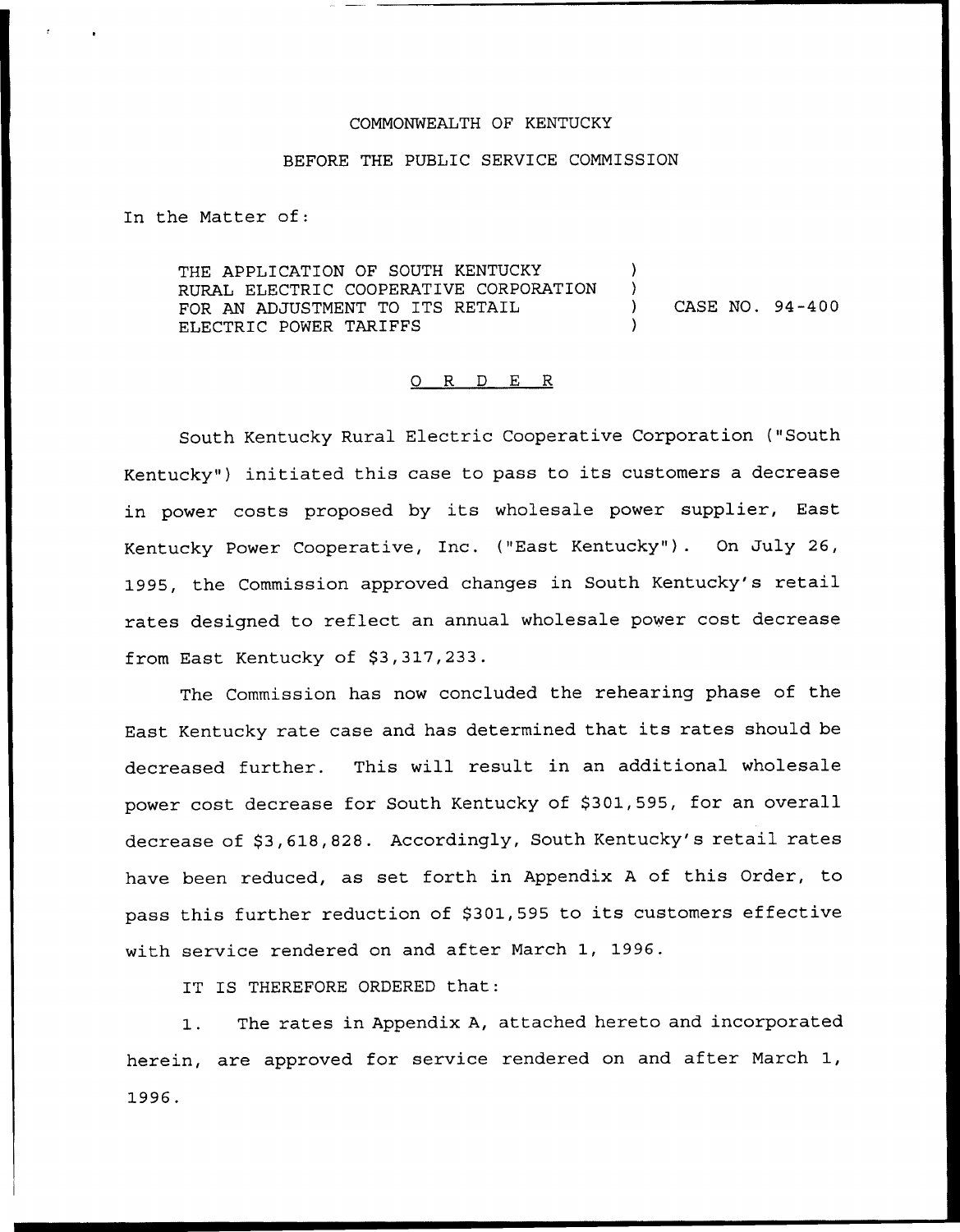### COMMONWEALTH OF KENTUCKY

#### BEFORE THE PUBLIC SERVICE COMMISSION

In the Matter of:

THE APPLICATION OF SOUTH KENTUCKY )<br>PURAL ELECTRIC COOPERATIVE CORPORATION ) RURAL ELECTRIC COOPERATIVE CORPORATION )<br>FOR AN ADJUSTMENT TO ITS RETAIL FOR AN ADJUSTMENT TO ITS RETAIL (a) CASE NO. 94-400 ELECTRIC POWER TARIFFS

#### 0 R <sup>D</sup> E R

South Kentucky Rural Electric Cooperative Corporation ("South Kentucky") initiated this case to pass to its customers a decrease in power costs proposed by its wholesale power supplier, East Kentucky Power Cooperative, Inc. ("East Kentucky" ). On July 26, 1995, the Commission approved changes in South Kentucky's retail rates designed to reflect an annual wholesale power cost decrease from East Kentucky of \$3,317,233.

The Commission has now concluded the rehearing phase of the East Kentucky rate case and has determined that its rates should be decreased further. This will result in an additional wholesale power cost decrease for South Kentucky of \$301,595, for an overall decrease of \$3,618,828. Accordingly, South Kentucky's retail rates have been reduced, as set forth in Appendix <sup>A</sup> of this Order, to pass this further reduction of \$301,595 to its customers effective with service rendered on and after March 1, 1996.

IT IS THEREFORE ORDERED that:

1. The rates in Appendix A, attached hereto and incorporated herein, are approved for service rendered on and after March 1, 1996.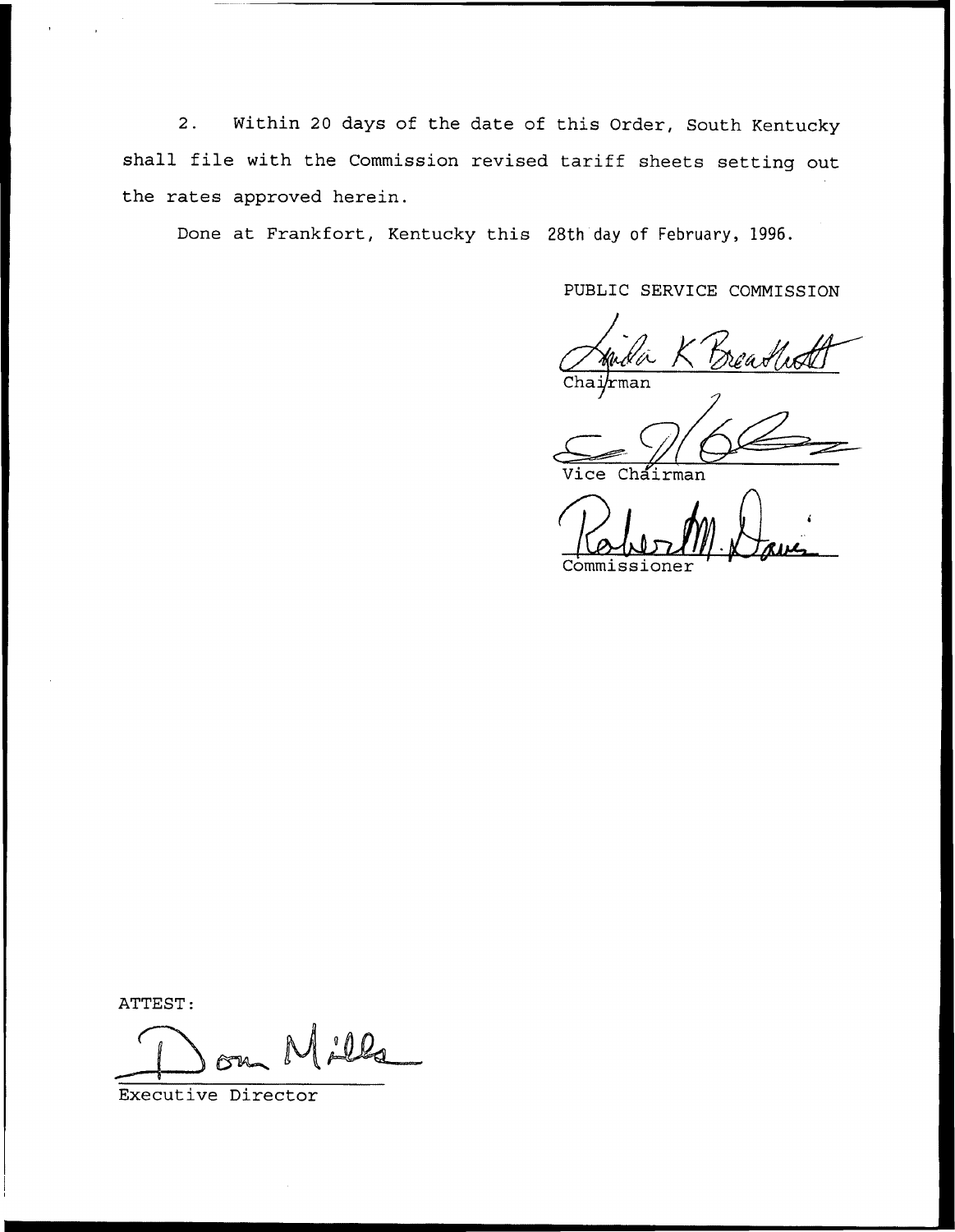2. Within <sup>20</sup> days of the date of this Order, South Kentucky shall file with the Commission revised tariff sheets setting out the rates approved herein.

Done at Frankfort, Kentucky this 28th day of February, 1996.

PUBLIC SERVICE COMMISSION

hman

irman

Commissioner

ATTEST:

 $0.02$ 

Executive Director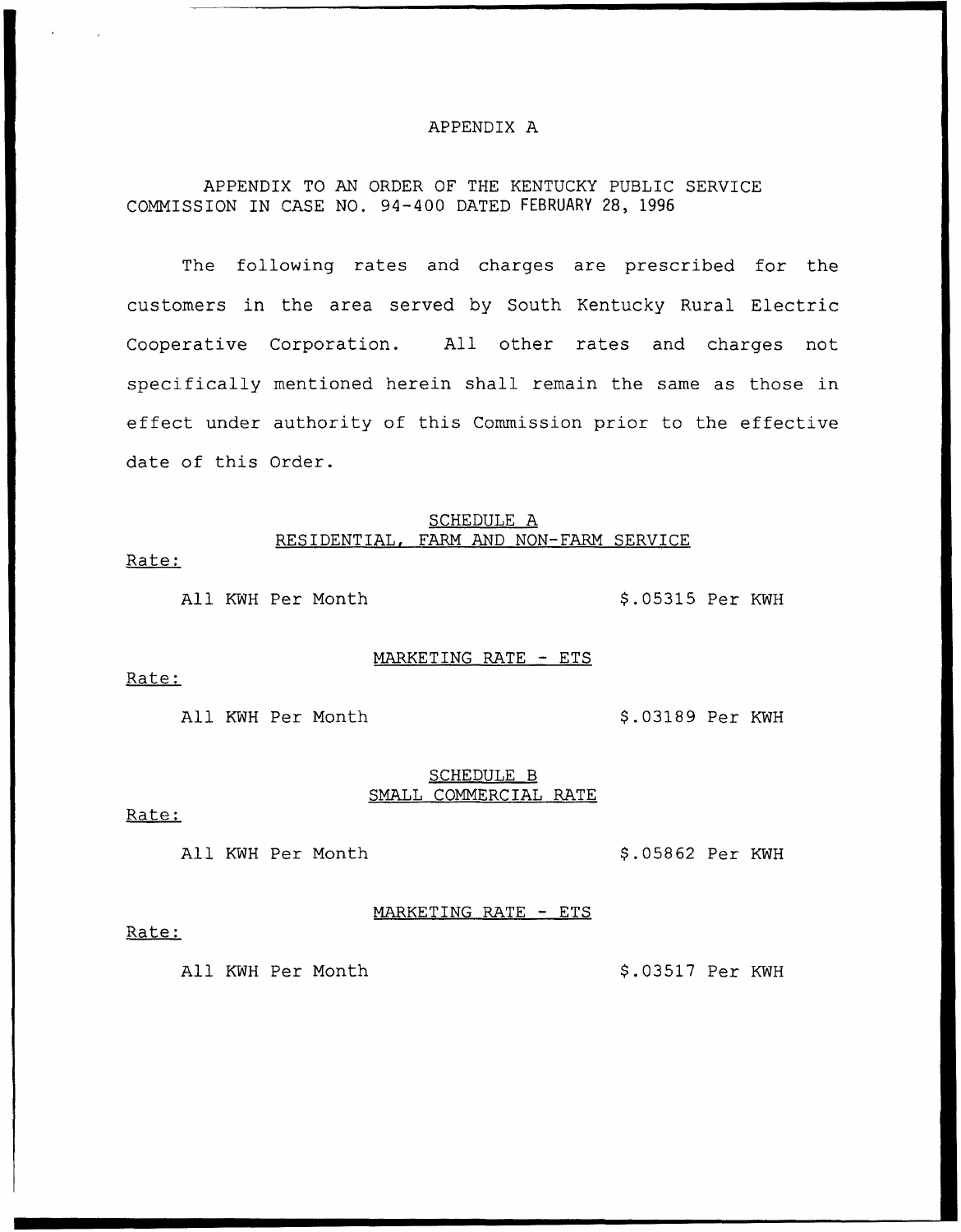## APPENDIX A

# APPENDIX TO AN ORDER OF THE KENTUCKY PUBLIC SERVICE COMMISSION IN CASE NO. 94-400 DATED FEBRUARY 28, 1996

The following rates and charges are prescribed for the customers in the area served by South Kentucky Rural Electric Cooperative Corporation. All other rates and charges not specifically mentioned herein shall remain the same as those in effect under authority of this Commission prior to the effective date of this Order.

### SCHEDULE A RESIDENTIAL, FARM AND NON-FARM SERVICE

Rate:

All KWH Per Month  $$.05315$  Per KWH

#### MARKETING RATE — ETS

Rate:

All KWH Per Month  $$.03189$  Per KWH

### SCHEDULE B SMALL COMMERCIAL RATE

MARKETING RATE — ETS

Rate:

All KWH Per Month 9.05862 Per KWH

#### Rate:

All KWH Per Month 9.03517 Per KWH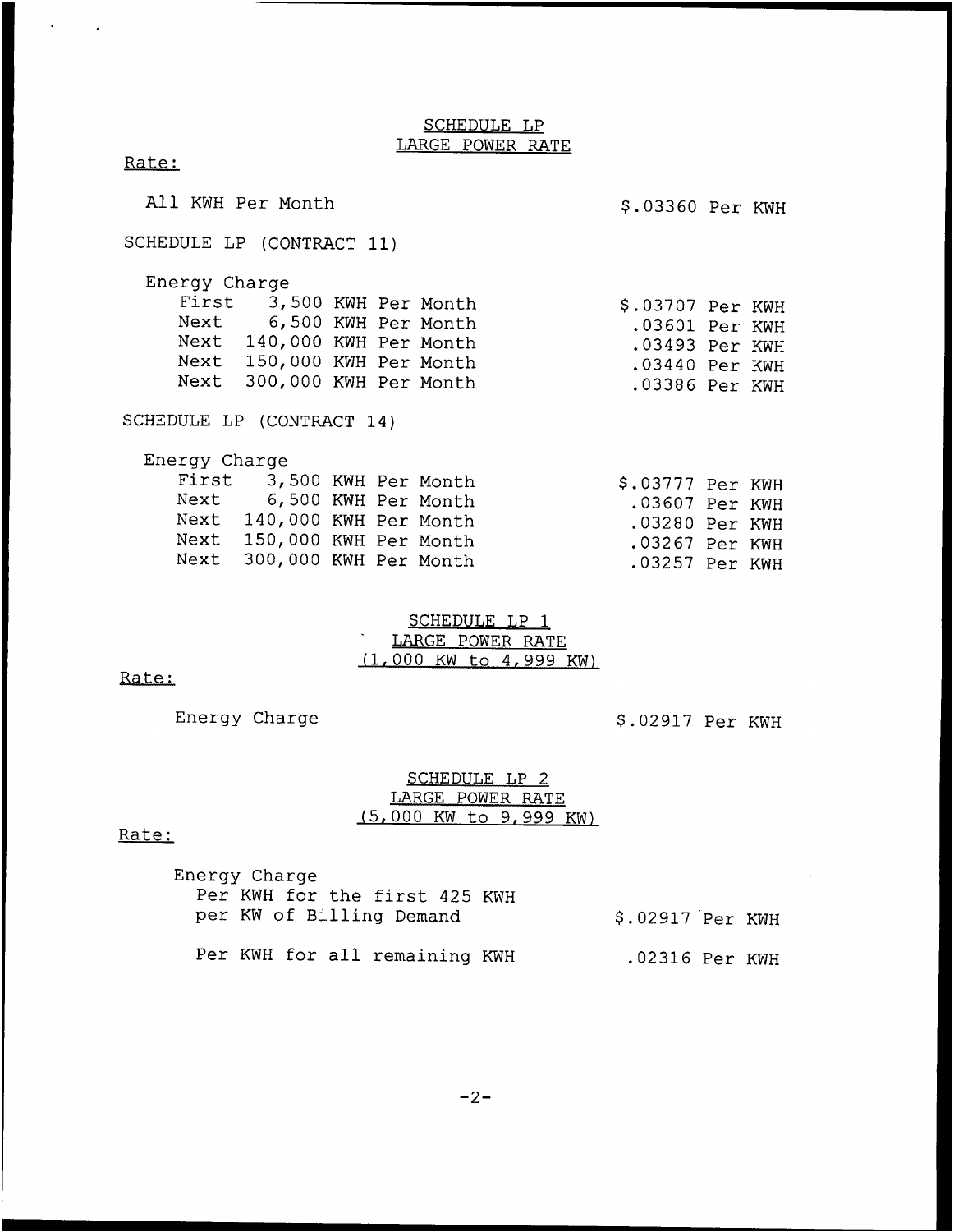# SCHEDULE LP LARGE POWER RATE

| All KWH Per Month         |                            |  |  | \$.03360 Per KWH |  |  |  |  |  |
|---------------------------|----------------------------|--|--|------------------|--|--|--|--|--|
| SCHEDULE LP (CONTRACT 11) |                            |  |  |                  |  |  |  |  |  |
| Energy Charge             |                            |  |  |                  |  |  |  |  |  |
|                           | First 3,500 KWH Per Month  |  |  | \$.03707 Per KWH |  |  |  |  |  |
|                           | Next 6,500 KWH Per Month   |  |  | .03601 Per KWH   |  |  |  |  |  |
|                           | Next 140,000 KWH Per Month |  |  | .03493 Per KWH   |  |  |  |  |  |
|                           | Next 150,000 KWH Per Month |  |  | .03440 Per KWH   |  |  |  |  |  |
|                           | Next 300,000 KWH Per Month |  |  | .03386 Per KWH   |  |  |  |  |  |
| SCHEDULE LP (CONTRACT 14) |                            |  |  |                  |  |  |  |  |  |
| Energy Charge             |                            |  |  |                  |  |  |  |  |  |
|                           | First 3,500 KWH Per Month  |  |  | \$.03777 Per KWH |  |  |  |  |  |
|                           | Next 6,500 KWH Per Month   |  |  | .03607 Per KWH   |  |  |  |  |  |
|                           | Next 140,000 KWH Per Month |  |  | .03280 Per KWH   |  |  |  |  |  |
|                           | Next 150,000 KWH Per Month |  |  | .03267 Per KWH   |  |  |  |  |  |
|                           | Next 300,000 KWH Per Month |  |  | .03257 Per KWH   |  |  |  |  |  |

# SCHEDULE LP 1 LARGE POWER RATE (1, 000 KW to 4, 999 KW)

## Rate:

Rate:

 $\epsilon$ 

 $\sim$ 

Energy Charge  $$.02917$  Per KWH

# SCHEDULE LP 2 LARGE POWER RATE (5,000 KW to 9,999 KW)

## Rate:

| Energy Charge                 |                  |
|-------------------------------|------------------|
| Per KWH for the first 425 KWH |                  |
| per KW of Billing Demand      | \$.02917 Per KWH |
|                               |                  |
| Per KWH for all remaining KWH | .02316 Per KWH   |